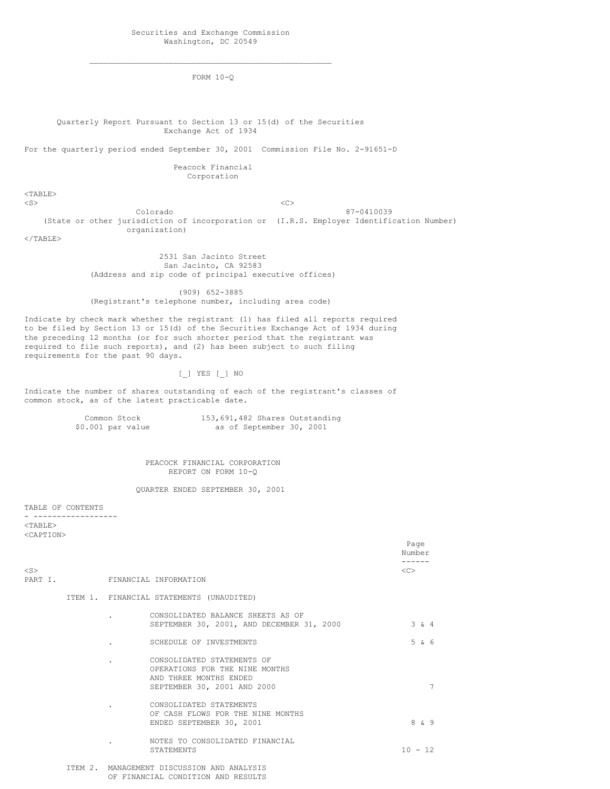$\_$  , and the set of the set of the set of the set of the set of the set of the set of the set of the set of the set of the set of the set of the set of the set of the set of the set of the set of the set of the set of th FORM 10-Q

Quarterly Report Pursuant to Section 13 or 15(d) of the Securities Exchange Act of 1934

For the quarterly period ended September 30, 2001 Commission File No. 2-91651-D

Peacock Financial Corporation

<TABLE>

Page

 $\langle S \rangle$   $\langle C \rangle$ Colorado 87-0410039 (State or other jurisdiction of incorporation or (I.R.S. Employer Identification Number) organization)

 $<$ /TABLE $>$ 

2531 San Jacinto Street San Jacinto, CA 92583 (Address and zip code of principal executive offices)

(909) 652-3885 (Registrant's telephone number, including area code)

Indicate by check mark whether the registrant (1) has filed all reports required to be filed by Section 13 or 15(d) of the Securities Exchange Act of 1934 during the preceding 12 months (or for such shorter period that the registrant was required to file such reports), and (2) has been subject to such filing requirements for the past 90 days.

[\_] YES [\_] NO

Indicate the number of shares outstanding of each of the registrant's classes of common stock, as of the latest practicable date.

| Common Stock      | 153, 691, 482 Shares Outstanding |
|-------------------|----------------------------------|
| \$0.001 par value | as of September 30, 2001         |

PEACOCK FINANCIAL CORPORATION REPORT ON FORM 10-Q

QUARTER ENDED SEPTEMBER 30, 2001

TABLE OF CONTENTS

- ------------------ <TABLE> <CAPTION>

|                      |  |                                                                                                                       | Number        |              |   |
|----------------------|--|-----------------------------------------------------------------------------------------------------------------------|---------------|--------------|---|
| $<$ S $>$<br>PART I. |  | FINANCIAL INFORMATION                                                                                                 | < <sub></sub> |              |   |
|                      |  | ITEM 1. FINANCIAL STATEMENTS (UNAUDITED)                                                                              |               |              |   |
|                      |  | CONSOLIDATED BALANCE SHEETS AS OF<br>SEPTEMBER 30, 2001, AND DECEMBER 31, 2000                                        |               | $3 \times 4$ |   |
|                      |  | SCHEDULE OF INVESTMENTS                                                                                               |               | 5 & 6        |   |
|                      |  | CONSOLIDATED STATEMENTS OF<br>OPERATIONS FOR THE NINE MONTHS<br>AND THREE MONTHS ENDED<br>SEPTEMBER 30, 2001 AND 2000 |               |              | 7 |
|                      |  | CONSOLIDATED STATEMENTS<br>OF CASH FLOWS FOR THE NINE MONTHS<br>ENDED SEPTEMBER 30, 2001                              |               | 8 & 9        |   |
|                      |  | NOTES TO CONSOLIDATED FINANCIAL<br><b>STATEMENTS</b>                                                                  | $10 - 12$     |              |   |
|                      |  | ITEM 2. MANAGEMENT DISCUSSION AND ANALYSIS                                                                            |               |              |   |

OF FINANCIAL CONDITION AND RESULTS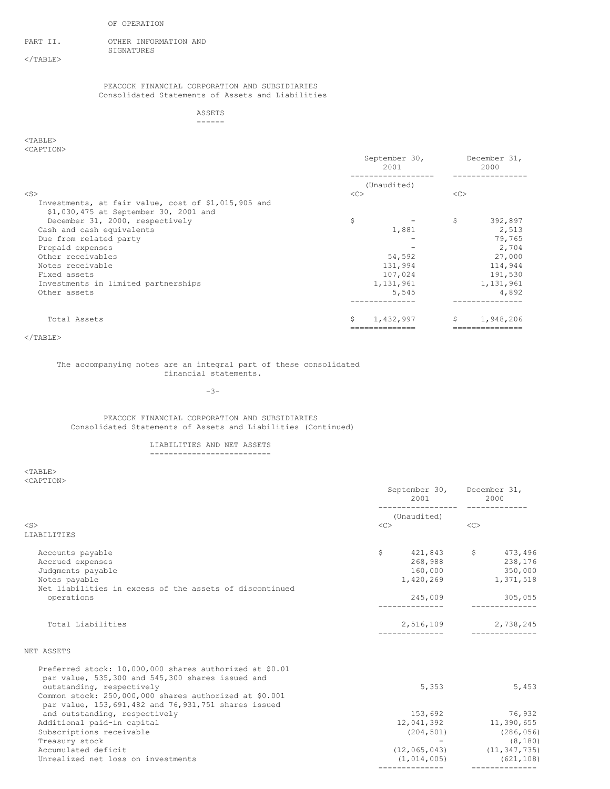### OF OPERATION

PART II. OTHER INFORMATION AND SIGNATURES

 $<$ /TABLE $>$ 

PEACOCK FINANCIAL CORPORATION AND SUBSIDIARIES Consolidated Statements of Assets and Liabilities

> ASSETS ------

# <TABLE> <CAPTION>

| $50111 + 10187$                                                                              |    | September 30,<br>2001 |    | December 31,<br>2000 |
|----------------------------------------------------------------------------------------------|----|-----------------------|----|----------------------|
|                                                                                              |    | (Unaudited)           |    |                      |
| $<$ S $>$                                                                                    | << |                       | << |                      |
| Investments, at fair value, cost of \$1,015,905 and<br>\$1,030,475 at September 30, 2001 and |    |                       |    |                      |
| December 31, 2000, respectively                                                              | \$ |                       | \$ | 392,897              |
| Cash and cash equivalents                                                                    |    | 1,881                 |    | 2,513                |
| Due from related party                                                                       |    |                       |    | 79,765               |
| Prepaid expenses                                                                             |    |                       |    | 2,704                |
| Other receivables                                                                            |    | 54,592                |    | 27,000               |
| Notes receivable                                                                             |    | 131,994               |    | 114,944              |
| Fixed assets                                                                                 |    | 107,024               |    | 191,530              |
| Investments in limited partnerships                                                          |    | 1,131,961             |    | 1,131,961            |
| Other assets                                                                                 |    | 5,545                 |    | 4,892                |
|                                                                                              |    |                       |    | ------------         |
| Total Assets                                                                                 | S  | 1,432,997             | S. | 1,948,206            |
|                                                                                              |    |                       |    |                      |

</TABLE>

# The accompanying notes are an integral part of these consolidated financial statements.

-3-

# PEACOCK FINANCIAL CORPORATION AND SUBSIDIARIES Consolidated Statements of Assets and Liabilities (Continued)

#### LIABILITIES AND NET ASSETS --------------------------

<TABLE> <CAPTION>

| NUZIL LEUIV                                             | 2001 2002<br>---------------- | September 30, December 31,<br>2000 |
|---------------------------------------------------------|-------------------------------|------------------------------------|
|                                                         | (Unaudited)                   |                                    |
| $<$ S $>$                                               | $<<$ $C>$                     | $\langle C \rangle$                |
| LIABILITIES                                             |                               |                                    |
| Accounts payable                                        | $\mathsf{S}$                  | 421,843 \$473,496                  |
| Accrued expenses                                        |                               | 268,988 238,176                    |
| Judgments payable                                       | 160,000                       | 350,000                            |
| Notes payable                                           |                               | 1,420,269 1,371,518                |
| Net liabilities in excess of the assets of discontinued |                               |                                    |
| operations                                              | 245,009                       | 305,055                            |
|                                                         |                               |                                    |
| Total Liabilities                                       |                               | 2,516,109 2,738,245                |
|                                                         |                               |                                    |
| NET ASSETS                                              |                               |                                    |
| Preferred stock: 10,000,000 shares authorized at \$0.01 |                               |                                    |
| par value, 535,300 and 545,300 shares issued and        |                               |                                    |
| outstanding, respectively                               | 5,353                         | 5,453                              |
| Common stock: 250,000,000 shares authorized at \$0.001  |                               |                                    |
| par value, 153,691,482 and 76,931,751 shares issued     |                               |                                    |
| and outstanding, respectively                           |                               | 153,692 76,932                     |
| Additional paid-in capital                              |                               | 12,041,392 11,390,655              |
| Subscriptions receivable                                | (204, 501)                    | (286, 056)                         |
| Treasury stock                                          |                               | (8, 180)                           |
| Accumulated deficit                                     |                               | $(12, 065, 043)$ $(11, 347, 735)$  |
| Unrealized net loss on investments                      | (1, 014, 005)                 | (621, 108)                         |
|                                                         |                               |                                    |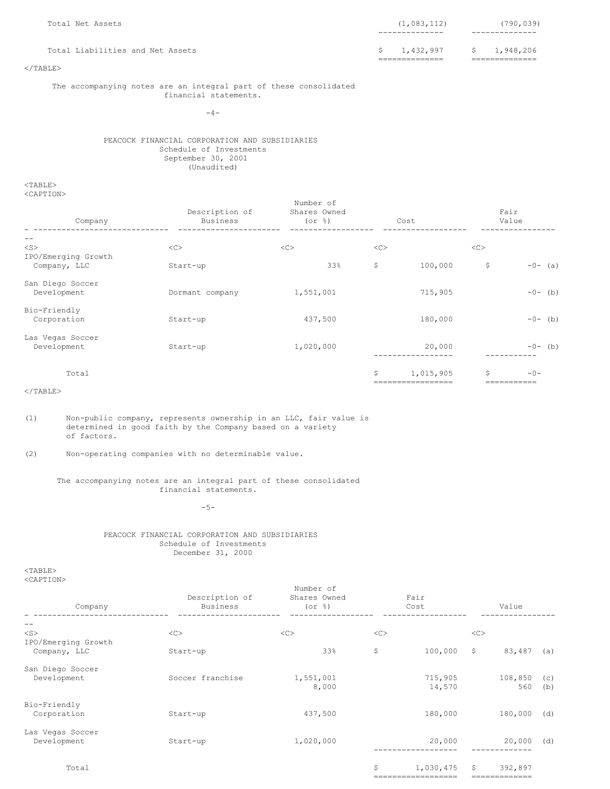| Total Net Assets                 | (1,083,112)<br>----------- | (790, 039)       |
|----------------------------------|----------------------------|------------------|
| Total Liabilities and Net Assets | \$1,432,997                | 1,948,206<br>-S. |
| $\langle$ /TABLE $\rangle$       |                            |                  |

The accompanying notes are an integral part of these consolidated financial statements.

 $-4-$ 

PEACOCK FINANCIAL CORPORATION AND SUBSIDIARIES Schedule of Investments September 30, 2001 (Unaudited)

<TABLE> <CAPTION>

| Company                             | Description of<br><b>Business</b> | Number of<br>Shares Owned<br>$($ or $\frac{6}{3}$ $)$ |    | Cost                       |    | Fair<br>Value |
|-------------------------------------|-----------------------------------|-------------------------------------------------------|----|----------------------------|----|---------------|
|                                     |                                   |                                                       |    |                            |    |               |
| $<$ S $>$                           | <<                                | <<                                                    | << |                            | << |               |
| IPO/Emerging Growth<br>Company, LLC | Start-up                          | 33%                                                   | \$ | 100,000                    | \$ | $-0-$ (a)     |
| San Diego Soccer<br>Development     | Dormant company                   | 1,551,001                                             |    | 715,905                    |    | $-0-$ (b)     |
| Bio-Friendly<br>Corporation         | Start-up                          | 437,500                                               |    | 180,000                    |    | $-0-$ (b)     |
| Las Vegas Soccer<br>Development     | Start-up                          | 1,020,000                                             |    | 20,000<br>----------       |    | $-0-$ (b)     |
| Total                               |                                   |                                                       | \$ | 1,015,905<br>============= | S  | $-0-$         |

 $<$ /TABLE $>$ 

(1) Non-public company, represents ownership in an LLC, fair value is determined in good faith by the Company based on a variety of factors.

(2) Non-operating companies with no determinable value.

## The accompanying notes are an integral part of these consolidated financial statements.

-5-

# PEACOCK FINANCIAL CORPORATION AND SUBSIDIARIES Schedule of Investments December 31, 2000

<TABLE> <CAPTION>

| Company                          | Description of<br>Business | Number of<br>Shares Owned<br>$($ or $\frac{6}{6}$ $)$ |    | Fair<br>Cost                    |              | Value                 |            |
|----------------------------------|----------------------------|-------------------------------------------------------|----|---------------------------------|--------------|-----------------------|------------|
| $- -$                            |                            |                                                       |    |                                 |              |                       |            |
| $<$ S $>$<br>IPO/Emerging Growth | <<                         | <<                                                    | << |                                 | <<           |                       |            |
| Company, LLC                     | Start-up                   | 33%                                                   | \$ | 100,000                         | $\mathsf{S}$ | 83,487                | (a)        |
| San Diego Soccer<br>Development  | Soccer franchise           | 1,551,001<br>8,000                                    |    | 715,905<br>14,570               |              | 108,850<br>560        | (C)<br>(b) |
| Bio-Friendly<br>Corporation      | Start-up                   | 437,500                                               |    | 180,000                         |              | 180,000               | (d)        |
| Las Vegas Soccer<br>Development  | Start-up                   | 1,020,000                                             |    | 20,000                          |              | 20,000                | (d)        |
| Total                            |                            |                                                       | \$ | 1,030,475<br>------------------ | S.           | 392,897<br>========== |            |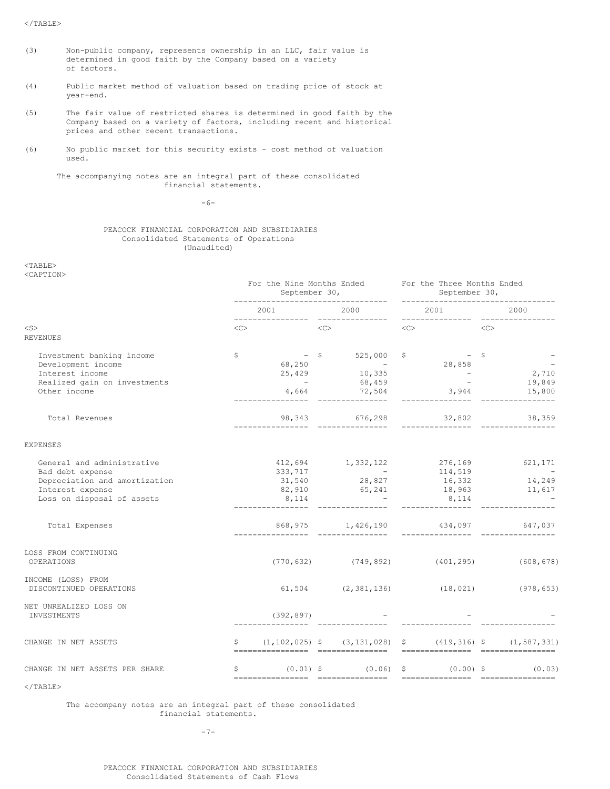$<$ /TABLE>

- (3) Non-public company, represents ownership in an LLC, fair value is determined in good faith by the Company based on a variety of factors.
- (4) Public market method of valuation based on trading price of stock at year-end.
- (5) The fair value of restricted shares is determined in good faith by the Company based on a variety of factors, including recent and historical prices and other recent transactions.
- (6) No public market for this security exists cost method of valuation used.

The accompanying notes are an integral part of these consolidated financial statements.

-6-

# PEACOCK FINANCIAL CORPORATION AND SUBSIDIARIES Consolidated Statements of Operations (Unaudited)

<TABLE>

<CAPTION>

|                                                                                                                                   |              | For the Nine Months Ended   |           |                                                                                                                                     |    | For the Three Months Ended |    |                                                  |
|-----------------------------------------------------------------------------------------------------------------------------------|--------------|-----------------------------|-----------|-------------------------------------------------------------------------------------------------------------------------------------|----|----------------------------|----|--------------------------------------------------|
|                                                                                                                                   |              | 2001                        |           | 2000                                                                                                                                |    | 2001                       |    | 2000                                             |
| $<$ S $>$<br><b>REVENUES</b>                                                                                                      | <<>          |                             | < <c></c> |                                                                                                                                     | << |                            | << |                                                  |
| Investment banking income<br>Development income<br>Interest income<br>Realized gain on investments<br>Other income                | \$           | $4,664$ $72,504$            |           | $68,250$<br>$25,429$<br>$-$<br>$10,335$<br>$-$<br>$68,450$<br>$-$<br>$-$<br>$-$<br>$28,858$<br>$-$<br>$-$<br>$-$<br>$-$<br>$28,858$ |    |                            |    | $\frac{2}{10}$ , 710<br>19,849<br>$3,944$ 15,800 |
| Total Revenues                                                                                                                    |              |                             |           | ___________ _________________                                                                                                       |    |                            |    |                                                  |
| <b>EXPENSES</b>                                                                                                                   |              |                             |           |                                                                                                                                     |    |                            |    |                                                  |
| General and administrative<br>Bad debt expense<br>Depreciation and amortization<br>Interest expense<br>Loss on disposal of assets |              | 333,717<br>31,540<br>8, 114 |           | 412,694 1,332,122 276,169 621,171<br>$-$<br>28,827<br>$82,910$ $65,241$ $18,963$ $11,617$                                           |    | 8,114                      |    | $114,519$<br>16,332 14,249                       |
| Total Expenses                                                                                                                    |              |                             |           | 868,975 1,426,190 434,097 647,037                                                                                                   |    |                            |    |                                                  |
| LOSS FROM CONTINUING<br>OPERATIONS                                                                                                |              |                             |           | $(770, 632)$ $(749, 892)$ $(401, 295)$ $(608, 678)$                                                                                 |    |                            |    |                                                  |
| INCOME (LOSS) FROM<br>DISCONTINUED OPERATIONS                                                                                     |              |                             |           | $(18, 021)$ $(978, 653)$                                                                                                            |    |                            |    |                                                  |
| NET UNREALIZED LOSS ON<br>INVESTMENTS                                                                                             |              | (392, 897)                  |           |                                                                                                                                     |    |                            |    |                                                  |
| CHANGE IN NET ASSETS                                                                                                              | $\mathsf{S}$ |                             |           | $(1, 102, 025)$ \$ $(3, 131, 028)$ \$ $(419, 316)$ \$ $(1, 587, 331)$                                                               |    |                            |    |                                                  |
| CHANGE IN NET ASSETS PER SHARE                                                                                                    | \$           | -----------------           |           | $(0.01)$ \$ $(0.06)$ \$ $(0.00)$ \$<br>-----------------                                                                            |    | ================           |    | (0.03)<br>___________________                    |
| $<$ /TABLE>                                                                                                                       |              |                             |           |                                                                                                                                     |    |                            |    |                                                  |

The accompany notes are an integral part of these consolidated financial statements.

-7-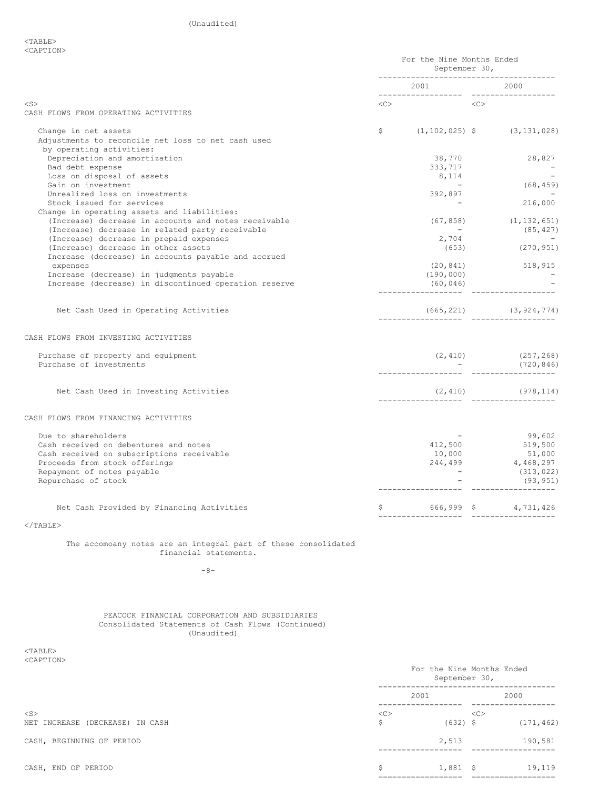|                                                                                                        | For the Nine Months Ended<br>September 30,<br>-------------------------------------- |                                                     |  |                                                         |
|--------------------------------------------------------------------------------------------------------|--------------------------------------------------------------------------------------|-----------------------------------------------------|--|---------------------------------------------------------|
|                                                                                                        |                                                                                      | 2001                                                |  | 2000                                                    |
| $<$ S $>$                                                                                              |                                                                                      | $\langle C \rangle \qquad \qquad \langle C \rangle$ |  |                                                         |
| CASH FLOWS FROM OPERATING ACTIVITIES                                                                   |                                                                                      |                                                     |  |                                                         |
| Change in net assets<br>Adjustments to reconcile net loss to net cash used<br>by operating activities: |                                                                                      |                                                     |  | $\frac{1}{2}$ (1, 102, 025) $\frac{1}{2}$ (3, 131, 028) |
| Depreciation and amortization                                                                          |                                                                                      | 38,770                                              |  | 28,827                                                  |
| Bad debt expense                                                                                       |                                                                                      | 333,717                                             |  |                                                         |
| Loss on disposal of assets                                                                             |                                                                                      | 8,114                                               |  | (68, 459)                                               |
| Gain on investment                                                                                     |                                                                                      |                                                     |  |                                                         |
| Unrealized loss on investments                                                                         |                                                                                      | 392,897                                             |  |                                                         |
| Stock issued for services                                                                              |                                                                                      |                                                     |  | 216,000                                                 |
| Change in operating assets and liabilities:<br>(Increase) decrease in accounts and notes receivable    |                                                                                      | (67, 858)                                           |  | (1, 132, 651)                                           |
| (Increase) decrease in related party receivable                                                        |                                                                                      | <b>Contract Contract</b>                            |  | (85, 427)                                               |
| (Increase) decrease in prepaid expenses                                                                |                                                                                      | 2,704                                               |  | and the state of the                                    |
| (Increase) decrease in other assets                                                                    |                                                                                      | (653)                                               |  | (270, 951)                                              |
| Increase (decrease) in accounts payable and accrued                                                    |                                                                                      |                                                     |  |                                                         |
| expenses                                                                                               |                                                                                      |                                                     |  | $(20, 841)$ 518, 915                                    |
| Increase (decrease) in judgments payable                                                               |                                                                                      | (190, 000)                                          |  |                                                         |
| Increase (decrease) in discontinued operation reserve                                                  |                                                                                      | (60, 046)                                           |  |                                                         |
| Net Cash Used in Operating Activities                                                                  |                                                                                      |                                                     |  |                                                         |
| CASH FLOWS FROM INVESTING ACTIVITIES                                                                   |                                                                                      |                                                     |  |                                                         |
| Purchase of property and equipment                                                                     |                                                                                      |                                                     |  | $(2, 410)$ $(257, 268)$<br>- $(720, 846)$               |
| Purchase of investments                                                                                |                                                                                      |                                                     |  |                                                         |
| Net Cash Used in Investing Activities                                                                  |                                                                                      |                                                     |  |                                                         |
| CASH FLOWS FROM FINANCING ACTIVITIES                                                                   |                                                                                      |                                                     |  |                                                         |
|                                                                                                        |                                                                                      |                                                     |  |                                                         |
| Due to shareholders                                                                                    |                                                                                      |                                                     |  | 99,602                                                  |
| Cash received on debentures and notes                                                                  |                                                                                      | 412,500                                             |  | 99,602<br>519,500<br>51 000                             |
| Cash received on subscriptions receivable                                                              |                                                                                      | 10,000                                              |  | 51,000                                                  |
| Proceeds from stock offerings                                                                          |                                                                                      | 244,499<br>$\sim$ $-$                               |  | 4,468,297                                               |
| Repayment of notes payable                                                                             |                                                                                      |                                                     |  | (313, 022)                                              |
| Repurchase of stock                                                                                    |                                                                                      |                                                     |  | (93, 951)                                               |
| Net Cash Provided by Financing Activities                                                              |                                                                                      | $$ 666,999 \t$ 4,731,426$                           |  |                                                         |
| $<$ /TABLE>                                                                                            |                                                                                      |                                                     |  |                                                         |
| The accomoany notes are an integral part of these consolidated<br>financial statements.                |                                                                                      |                                                     |  |                                                         |
| $-8-$                                                                                                  |                                                                                      |                                                     |  |                                                         |

PEACOCK FINANCIAL CORPORATION AND SUBSIDIARIES Consolidated Statements of Cash Flows (Continued) (Unaudited)

 $<$ TABLE $>$ <CAPTION>

|                                           |         | September 30, | For the Nine Months Ended |            |
|-------------------------------------------|---------|---------------|---------------------------|------------|
|                                           | 2001    |               |                           | 2000       |
| $<$ S><br>NET INCREASE (DECREASE) IN CASH | <<<br>S | $(632)$ \$    | <<                        | (171, 462) |
| CASH, BEGINNING OF PERIOD                 |         | 2,513         |                           | 190,581    |
| CASH, END OF PERIOD                       | S       | $1,881$ \$    |                           | 19,119     |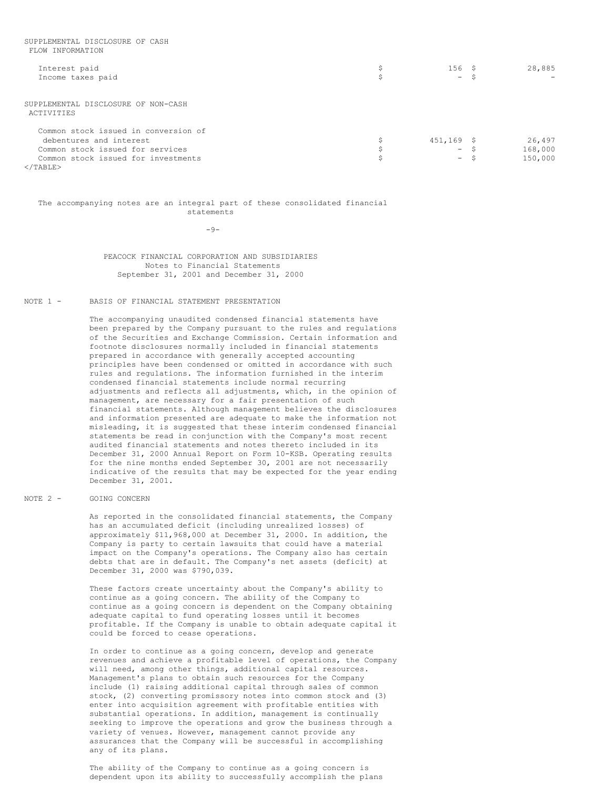| FLOW INFORMATION                                  |               |         |
|---------------------------------------------------|---------------|---------|
| Interest paid                                     | 156S          | 28,885  |
| Income taxes paid                                 | $-5$          |         |
| SUPPLEMENTAL DISCLOSURE OF NON-CASH<br>ACTIVITIES |               |         |
| Common stock issued in conversion of              |               |         |
| debentures and interest                           | $451, 169$ \$ | 26,497  |
| Common stock issued for services                  | $-5$          | 168,000 |
| Common stock issued for investments               | $-$           | 150,000 |
| $\langle$ /TABLE>                                 |               |         |

SUPPLEMENTAL DISCLOSURE OF CASH

The accompanying notes are an integral part of these consolidated financial statements

 $-9-$ 

PEACOCK FINANCIAL CORPORATION AND SUBSIDIARIES Notes to Financial Statements September 31, 2001 and December 31, 2000

# NOTE 1 - BASIS OF FINANCIAL STATEMENT PRESENTATION

The accompanying unaudited condensed financial statements have been prepared by the Company pursuant to the rules and regulations of the Securities and Exchange Commission. Certain information and footnote disclosures normally included in financial statements prepared in accordance with generally accepted accounting principles have been condensed or omitted in accordance with such rules and regulations. The information furnished in the interim condensed financial statements include normal recurring adjustments and reflects all adjustments, which, in the opinion of management, are necessary for a fair presentation of such financial statements. Although management believes the disclosures and information presented are adequate to make the information not misleading, it is suggested that these interim condensed financial statements be read in conjunction with the Company's most recent audited financial statements and notes thereto included in its December 31, 2000 Annual Report on Form 10-KSB. Operating results for the nine months ended September 30, 2001 are not necessarily indicative of the results that may be expected for the year ending December 31, 2001.

#### NOTE 2 - GOING CONCERN

As reported in the consolidated financial statements, the Company has an accumulated deficit (including unrealized losses) of approximately \$11,968,000 at December 31, 2000. In addition, the Company is party to certain lawsuits that could have a material impact on the Company's operations. The Company also has certain debts that are in default. The Company's net assets (deficit) at December 31, 2000 was \$790,039.

These factors create uncertainty about the Company's ability to continue as a going concern. The ability of the Company to continue as a going concern is dependent on the Company obtaining adequate capital to fund operating losses until it becomes profitable. If the Company is unable to obtain adequate capital it could be forced to cease operations.

In order to continue as a going concern, develop and generate revenues and achieve a profitable level of operations, the Company will need, among other things, additional capital resources. Management's plans to obtain such resources for the Company include (1) raising additional capital through sales of common stock, (2) converting promissory notes into common stock and (3) enter into acquisition agreement with profitable entities with substantial operations. In addition, management is continually seeking to improve the operations and grow the business through a variety of venues. However, management cannot provide any assurances that the Company will be successful in accomplishing any of its plans.

The ability of the Company to continue as a going concern is dependent upon its ability to successfully accomplish the plans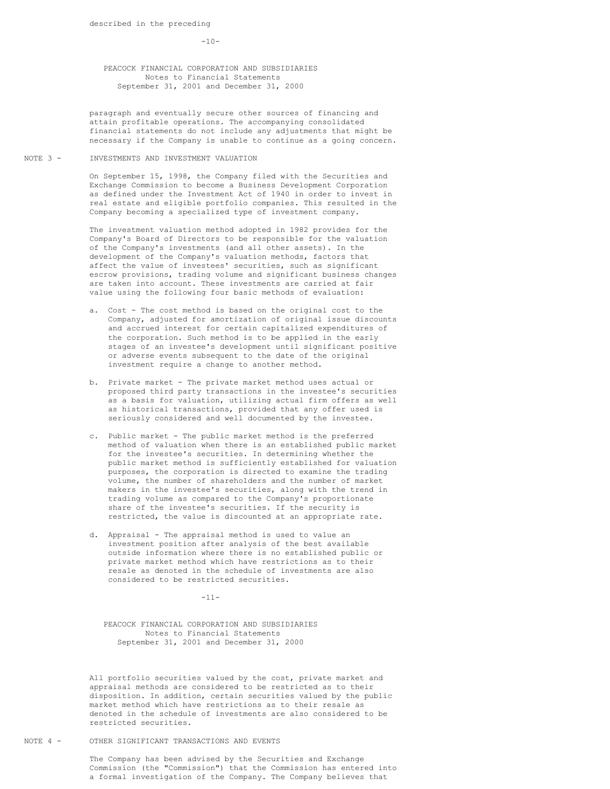$-10-$ 

PEACOCK FINANCIAL CORPORATION AND SUBSIDIARIES Notes to Financial Statements September 31, 2001 and December 31, 2000

paragraph and eventually secure other sources of financing and attain profitable operations. The accompanying consolidated financial statements do not include any adjustments that might be necessary if the Company is unable to continue as a going concern.

NOTE 3 - INVESTMENTS AND INVESTMENT VALUATION

On September 15, 1998, the Company filed with the Securities and Exchange Commission to become a Business Development Corporation as defined under the Investment Act of 1940 in order to invest in real estate and eligible portfolio companies. This resulted in the Company becoming a specialized type of investment company.

The investment valuation method adopted in 1982 provides for the Company's Board of Directors to be responsible for the valuation of the Company's investments (and all other assets). In the development of the Company's valuation methods, factors that affect the value of investees' securities, such as significant escrow provisions, trading volume and significant business changes are taken into account. These investments are carried at fair value using the following four basic methods of evaluation:

- a. Cost The cost method is based on the original cost to the Company, adjusted for amortization of original issue discounts and accrued interest for certain capitalized expenditures of the corporation. Such method is to be applied in the early stages of an investee's development until significant positive or adverse events subsequent to the date of the original investment require a change to another method.
- b. Private market The private market method uses actual or proposed third party transactions in the investee's securities as a basis for valuation, utilizing actual firm offers as well as historical transactions, provided that any offer used is seriously considered and well documented by the investee.
- c. Public market The public market method is the preferred method of valuation when there is an established public market for the investee's securities. In determining whether the public market method is sufficiently established for valuation purposes, the corporation is directed to examine the trading volume, the number of shareholders and the number of market makers in the investee's securities, along with the trend in trading volume as compared to the Company's proportionate share of the investee's securities. If the security is restricted, the value is discounted at an appropriate rate.
- d. Appraisal The appraisal method is used to value an investment position after analysis of the best available outside information where there is no established public or private market method which have restrictions as to their resale as denoted in the schedule of investments are also considered to be restricted securities.

-11-

PEACOCK FINANCIAL CORPORATION AND SUBSIDIARIES Notes to Financial Statements September 31, 2001 and December 31, 2000

All portfolio securities valued by the cost, private market and appraisal methods are considered to be restricted as to their disposition. In addition, certain securities valued by the public market method which have restrictions as to their resale as denoted in the schedule of investments are also considered to be restricted securities.

# NOTE 4 - OTHER SIGNIFICANT TRANSACTIONS AND EVENTS

The Company has been advised by the Securities and Exchange Commission (the "Commission") that the Commission has entered into a formal investigation of the Company. The Company believes that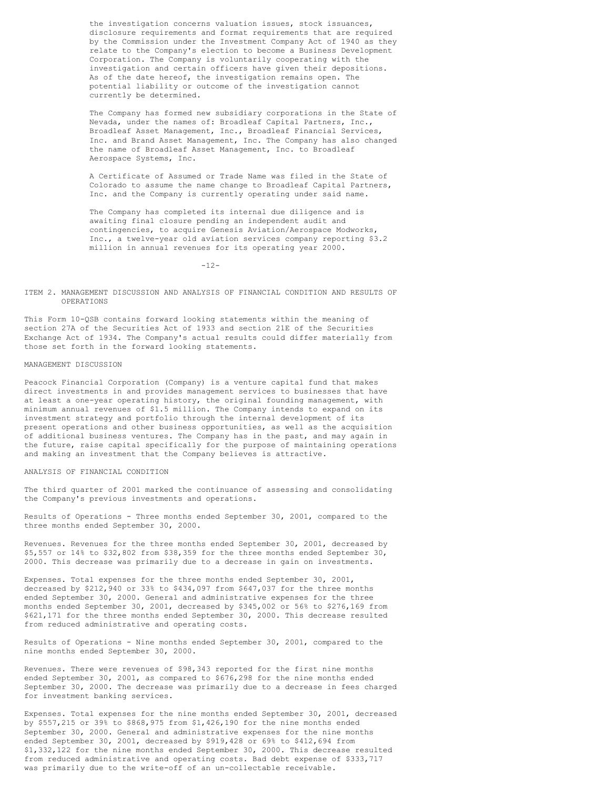the investigation concerns valuation issues, stock issuances, disclosure requirements and format requirements that are required by the Commission under the Investment Company Act of 1940 as they relate to the Company's election to become a Business Development Corporation. The Company is voluntarily cooperating with the investigation and certain officers have given their depositions. As of the date hereof, the investigation remains open. The potential liability or outcome of the investigation cannot currently be determined.

The Company has formed new subsidiary corporations in the State of Nevada, under the names of: Broadleaf Capital Partners, Inc., Broadleaf Asset Management, Inc., Broadleaf Financial Services, Inc. and Brand Asset Management, Inc. The Company has also changed the name of Broadleaf Asset Management, Inc. to Broadleaf Aerospace Systems, Inc.

A Certificate of Assumed or Trade Name was filed in the State of Colorado to assume the name change to Broadleaf Capital Partners, Inc. and the Company is currently operating under said name.

The Company has completed its internal due diligence and is awaiting final closure pending an independent audit and contingencies, to acquire Genesis Aviation/Aerospace Modworks, Inc., a twelve-year old aviation services company reporting \$3.2 million in annual revenues for its operating year 2000.

-12-

## ITEM 2. MANAGEMENT DISCUSSION AND ANALYSIS OF FINANCIAL CONDITION AND RESULTS OF OPERATIONS

This Form 10-QSB contains forward looking statements within the meaning of section 27A of the Securities Act of 1933 and section 21E of the Securities Exchange Act of 1934. The Company's actual results could differ materially from those set forth in the forward looking statements.

#### MANAGEMENT DISCUSSION

Peacock Financial Corporation (Company) is a venture capital fund that makes direct investments in and provides management services to businesses that have at least a one-year operating history, the original founding management, with minimum annual revenues of \$1.5 million. The Company intends to expand on its investment strategy and portfolio through the internal development of its present operations and other business opportunities, as well as the acquisition of additional business ventures. The Company has in the past, and may again in the future, raise capital specifically for the purpose of maintaining operations and making an investment that the Company believes is attractive.

## ANALYSIS OF FINANCIAL CONDITION

The third quarter of 2001 marked the continuance of assessing and consolidating the Company's previous investments and operations.

Results of Operations - Three months ended September 30, 2001, compared to the three months ended September 30, 2000.

Revenues. Revenues for the three months ended September 30, 2001, decreased by \$5,557 or 14% to \$32,802 from \$38,359 for the three months ended September 30, 2000. This decrease was primarily due to a decrease in gain on investments.

Expenses. Total expenses for the three months ended September 30, 2001, decreased by \$212,940 or 33% to \$434,097 from \$647,037 for the three months ended September 30, 2000. General and administrative expenses for the three months ended September 30, 2001, decreased by \$345,002 or 56% to \$276,169 from \$621,171 for the three months ended September 30, 2000. This decrease resulted from reduced administrative and operating costs.

Results of Operations - Nine months ended September 30, 2001, compared to the nine months ended September 30, 2000.

Revenues. There were revenues of \$98,343 reported for the first nine months ended September 30, 2001, as compared to \$676,298 for the nine months ended September 30, 2000. The decrease was primarily due to a decrease in fees charged for investment banking services.

Expenses. Total expenses for the nine months ended September 30, 2001, decreased by \$557,215 or 39% to \$868,975 from \$1,426,190 for the nine months ended September 30, 2000. General and administrative expenses for the nine months ended September 30, 2001, decreased by \$919,428 or 69% to \$412,694 from \$1,332,122 for the nine months ended September 30, 2000. This decrease resulted from reduced administrative and operating costs. Bad debt expense of \$333,717 was primarily due to the write-off of an un-collectable receivable.